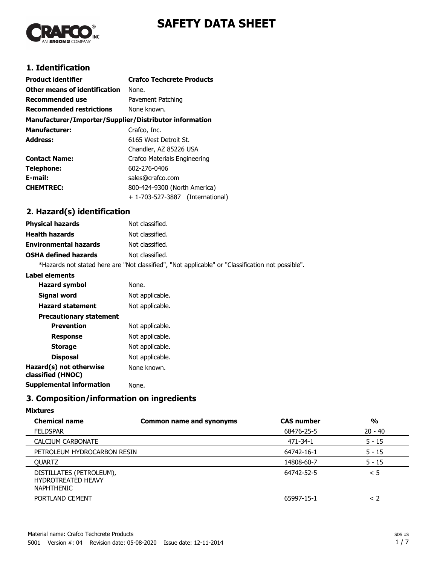

# **SAFETY DATA SHEET**

## **1. Identification**

| <b>Product identifier</b>                              | <b>Crafco Techcrete Products</b> |  |
|--------------------------------------------------------|----------------------------------|--|
| Other means of identification                          | None.                            |  |
| Recommended use                                        | Pavement Patching                |  |
| <b>Recommended restrictions</b>                        | None known.                      |  |
| Manufacturer/Importer/Supplier/Distributor information |                                  |  |
| <b>Manufacturer:</b>                                   | Crafco, Inc.                     |  |
| Address:                                               | 6165 West Detroit St.            |  |
|                                                        | Chandler, AZ 85226 USA           |  |
| <b>Contact Name:</b>                                   | Crafco Materials Engineering     |  |
| Telephone:                                             | 602-276-0406                     |  |
| E-mail:                                                | sales@crafco.com                 |  |
| <b>CHEMTREC:</b>                                       | 800-424-9300 (North America)     |  |
|                                                        | + 1-703-527-3887 (International) |  |

## **2. Hazard(s) identification**

| <b>Physical hazards</b>      | Not classified.                                                                                   |
|------------------------------|---------------------------------------------------------------------------------------------------|
| <b>Health hazards</b>        | Not classified.                                                                                   |
| <b>Environmental hazards</b> | Not classified.                                                                                   |
| <b>OSHA defined hazards</b>  | Not classified.                                                                                   |
|                              | *Hazards not stated here are "Not classified", "Not applicable" or "Classification not possible". |

### **Label elements**

| <b>Hazard symbol</b>                         | None.           |
|----------------------------------------------|-----------------|
| Signal word                                  | Not applicable. |
| <b>Hazard statement</b>                      | Not applicable. |
| <b>Precautionary statement</b>               |                 |
| <b>Prevention</b>                            | Not applicable. |
| <b>Response</b>                              | Not applicable. |
| <b>Storage</b>                               | Not applicable. |
| <b>Disposal</b>                              | Not applicable. |
| Hazard(s) not otherwise<br>classified (HNOC) | None known.     |
| Supplemental information                     | None.           |
|                                              |                 |

## **3. Composition/information on ingredients**

### **Mixtures**

| <b>Chemical name</b>                                                       | <b>Common name and synonyms</b> | <b>CAS number</b> | %         |
|----------------------------------------------------------------------------|---------------------------------|-------------------|-----------|
| <b>FELDSPAR</b>                                                            |                                 | 68476-25-5        | $20 - 40$ |
| CALCIUM CARBONATE                                                          |                                 | 471-34-1          | $5 - 15$  |
| PETROLEUM HYDROCARBON RESIN                                                |                                 | 64742-16-1        | $5 - 15$  |
| <b>OUARTZ</b>                                                              |                                 | 14808-60-7        | $5 - 15$  |
| DISTILLATES (PETROLEUM),<br><b>HYDROTREATED HEAVY</b><br><b>NAPHTHENIC</b> |                                 | 64742-52-5        | < 5       |
| PORTLAND CEMENT                                                            |                                 | 65997-15-1        | $\leq$ 2  |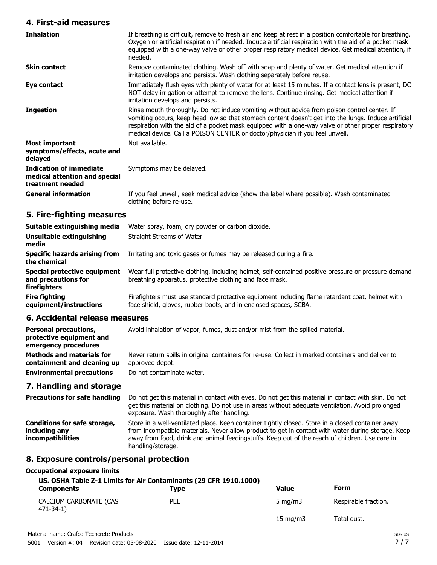### **4. First-aid measures**

| <b>Inhalation</b>                                                                   | If breathing is difficult, remove to fresh air and keep at rest in a position comfortable for breathing.<br>Oxygen or artificial respiration if needed. Induce artificial respiration with the aid of a pocket mask<br>equipped with a one-way valve or other proper respiratory medical device. Get medical attention, if<br>needed.                                                       |
|-------------------------------------------------------------------------------------|---------------------------------------------------------------------------------------------------------------------------------------------------------------------------------------------------------------------------------------------------------------------------------------------------------------------------------------------------------------------------------------------|
| <b>Skin contact</b>                                                                 | Remove contaminated clothing. Wash off with soap and plenty of water. Get medical attention if<br>irritation develops and persists. Wash clothing separately before reuse.                                                                                                                                                                                                                  |
| Eye contact                                                                         | Immediately flush eyes with plenty of water for at least 15 minutes. If a contact lens is present, DO<br>NOT delay irrigation or attempt to remove the lens. Continue rinsing. Get medical attention if<br>irritation develops and persists.                                                                                                                                                |
| <b>Ingestion</b>                                                                    | Rinse mouth thoroughly. Do not induce vomiting without advice from poison control center. If<br>vomiting occurs, keep head low so that stomach content doesn't get into the lungs. Induce artificial<br>respiration with the aid of a pocket mask equipped with a one-way valve or other proper respiratory<br>medical device. Call a POISON CENTER or doctor/physician if you feel unwell. |
| <b>Most important</b><br>symptoms/effects, acute and<br>delayed                     | Not available.                                                                                                                                                                                                                                                                                                                                                                              |
| <b>Indication of immediate</b><br>medical attention and special<br>treatment needed | Symptoms may be delayed.                                                                                                                                                                                                                                                                                                                                                                    |
| <b>General information</b>                                                          | If you feel unwell, seek medical advice (show the label where possible). Wash contaminated<br>clothing before re-use.                                                                                                                                                                                                                                                                       |

## **5. Fire-fighting measures**

| Suitable extinguishing media                                        | Water spray, foam, dry powder or carbon dioxide.                                                                                                                    |
|---------------------------------------------------------------------|---------------------------------------------------------------------------------------------------------------------------------------------------------------------|
| Unsuitable extinguishing<br>media                                   | Straight Streams of Water                                                                                                                                           |
| <b>Specific hazards arising from</b><br>the chemical                | Irritating and toxic gases or fumes may be released during a fire.                                                                                                  |
| Special protective equipment<br>and precautions for<br>firefighters | Wear full protective clothing, including helmet, self-contained positive pressure or pressure demand<br>breathing apparatus, protective clothing and face mask.     |
| <b>Fire fighting</b><br>equipment/instructions                      | Firefighters must use standard protective equipment including flame retardant coat, helmet with<br>face shield, gloves, rubber boots, and in enclosed spaces, SCBA. |

## **6. Accidental release measures**

| <b>Personal precautions,</b><br>protective equipment and<br>emergency procedures | Avoid inhalation of vapor, fumes, dust and/or mist from the spilled material.                                         |
|----------------------------------------------------------------------------------|-----------------------------------------------------------------------------------------------------------------------|
| <b>Methods and materials for</b><br>containment and cleaning up                  | Never return spills in original containers for re-use. Collect in marked containers and deliver to<br>approved depot. |
| <b>Environmental precautions</b>                                                 | Do not contaminate water.                                                                                             |

## **7. Handling and storage**

| <b>Precautions for safe handling</b>                                      | Do not get this material in contact with eyes. Do not get this material in contact with skin. Do not<br>get this material on clothing. Do not use in areas without adequate ventilation. Avoid prolonged<br>exposure. Wash thoroughly after handling.                                                                          |
|---------------------------------------------------------------------------|--------------------------------------------------------------------------------------------------------------------------------------------------------------------------------------------------------------------------------------------------------------------------------------------------------------------------------|
| Conditions for safe storage,<br>including any<br><i>incompatibilities</i> | Store in a well-ventilated place. Keep container tightly closed. Store in a closed container away<br>from incompatible materials. Never allow product to get in contact with water during storage. Keep<br>away from food, drink and animal feedingstuffs. Keep out of the reach of children. Use care in<br>handling/storage. |

## **8. Exposure controls/personal protection**

### **Occupational exposure limits**

| <b>Components</b>                        | US. OSHA Table Z-1 Limits for Air Contaminants (29 CFR 1910.1000)<br><b>Type</b> | <b>Value</b>      | Form                 |
|------------------------------------------|----------------------------------------------------------------------------------|-------------------|----------------------|
| CALCIUM CARBONATE (CAS<br>$471 - 34 - 1$ | PEL                                                                              | 5 $mq/m3$         | Respirable fraction. |
|                                          |                                                                                  | $15 \text{ mg/m}$ | Total dust.          |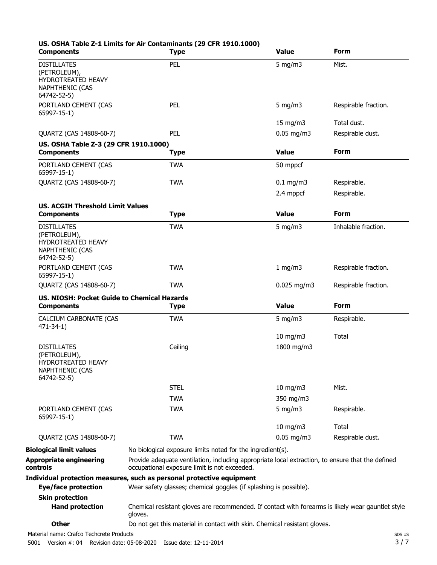| <b>Components</b>                                                                                 | US. OSHA Table Z-1 Limits for Air Contaminants (29 CFR 1910.1000)<br><b>Type</b>                                                                 | <b>Value</b>  | Form                 |
|---------------------------------------------------------------------------------------------------|--------------------------------------------------------------------------------------------------------------------------------------------------|---------------|----------------------|
| <b>DISTILLATES</b><br>(PETROLEUM),<br>HYDROTREATED HEAVY<br><b>NAPHTHENIC (CAS</b><br>64742-52-5) | PEL                                                                                                                                              | $5$ mg/m $3$  | Mist.                |
| PORTLAND CEMENT (CAS<br>65997-15-1)                                                               | PEL                                                                                                                                              | 5 mg/m $3$    | Respirable fraction. |
|                                                                                                   |                                                                                                                                                  | 15 mg/m3      | Total dust.          |
| QUARTZ (CAS 14808-60-7)                                                                           | PEL                                                                                                                                              | $0.05$ mg/m3  | Respirable dust.     |
| US. OSHA Table Z-3 (29 CFR 1910.1000)<br><b>Components</b>                                        | <b>Type</b>                                                                                                                                      | <b>Value</b>  | <b>Form</b>          |
| PORTLAND CEMENT (CAS<br>65997-15-1)                                                               | <b>TWA</b>                                                                                                                                       | 50 mppcf      |                      |
| QUARTZ (CAS 14808-60-7)                                                                           | <b>TWA</b>                                                                                                                                       | $0.1$ mg/m3   | Respirable.          |
|                                                                                                   |                                                                                                                                                  | 2.4 mppcf     | Respirable.          |
| <b>US. ACGIH Threshold Limit Values</b><br><b>Components</b>                                      | <b>Type</b>                                                                                                                                      | <b>Value</b>  | Form                 |
|                                                                                                   |                                                                                                                                                  |               |                      |
| <b>DISTILLATES</b><br>(PETROLEUM),<br><b>HYDROTREATED HEAVY</b><br>NAPHTHENIC (CAS<br>64742-52-5) | <b>TWA</b>                                                                                                                                       | 5 mg/m $3$    | Inhalable fraction.  |
| PORTLAND CEMENT (CAS<br>65997-15-1)                                                               | <b>TWA</b>                                                                                                                                       | 1 mg/m $3$    | Respirable fraction. |
| QUARTZ (CAS 14808-60-7)                                                                           | <b>TWA</b>                                                                                                                                       | $0.025$ mg/m3 | Respirable fraction. |
| US. NIOSH: Pocket Guide to Chemical Hazards<br><b>Components</b>                                  | <b>Type</b>                                                                                                                                      | <b>Value</b>  | <b>Form</b>          |
| CALCIUM CARBONATE (CAS<br>471-34-1)                                                               | <b>TWA</b>                                                                                                                                       | 5 mg/m $3$    | Respirable.          |
|                                                                                                   |                                                                                                                                                  | 10 mg/m3      | Total                |
| <b>DISTILLATES</b><br>(PETROLEUM),<br>HYDROTREATED HEAVY<br><b>NAPHTHENIC (CAS</b><br>64742-52-5) | Ceiling                                                                                                                                          | 1800 mg/m3    |                      |
|                                                                                                   | <b>STEL</b>                                                                                                                                      | $10$ mg/m $3$ | Mist.                |
|                                                                                                   | <b>TWA</b>                                                                                                                                       | 350 mg/m3     |                      |
| PORTLAND CEMENT (CAS<br>65997-15-1)                                                               | <b>TWA</b>                                                                                                                                       | 5 mg/m $3$    | Respirable.          |
|                                                                                                   |                                                                                                                                                  | 10 mg/m3      | Total                |
| QUARTZ (CAS 14808-60-7)                                                                           | <b>TWA</b>                                                                                                                                       | $0.05$ mg/m3  | Respirable dust.     |
| <b>Biological limit values</b>                                                                    | No biological exposure limits noted for the ingredient(s).                                                                                       |               |                      |
| <b>Appropriate engineering</b><br>controls                                                        | Provide adequate ventilation, including appropriate local extraction, to ensure that the defined<br>occupational exposure limit is not exceeded. |               |                      |
|                                                                                                   | Individual protection measures, such as personal protective equipment                                                                            |               |                      |
| Eye/face protection                                                                               | Wear safety glasses; chemical goggles (if splashing is possible).                                                                                |               |                      |
| <b>Skin protection</b><br><b>Hand protection</b>                                                  | Chemical resistant gloves are recommended. If contact with forearms is likely wear gauntlet style<br>gloves.                                     |               |                      |
| <b>Other</b>                                                                                      | Do not get this material in contact with skin. Chemical resistant gloves.                                                                        |               |                      |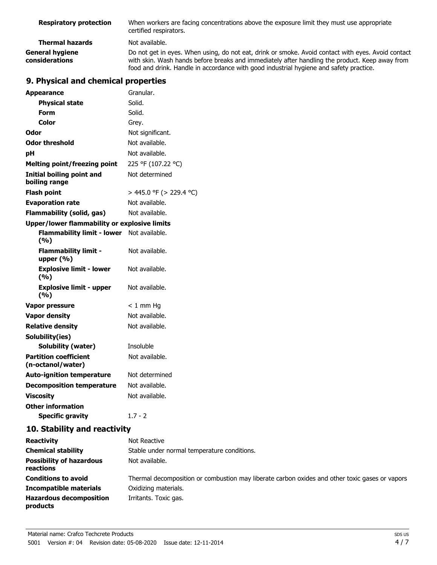| <b>Respiratory protection</b>     | When workers are facing concentrations above the exposure limit they must use appropriate<br>certified respirators.                                                                                                                                                                            |
|-----------------------------------|------------------------------------------------------------------------------------------------------------------------------------------------------------------------------------------------------------------------------------------------------------------------------------------------|
| <b>Thermal hazards</b>            | Not available.                                                                                                                                                                                                                                                                                 |
| General hygiene<br>considerations | Do not get in eyes. When using, do not eat, drink or smoke. Avoid contact with eyes. Avoid contact<br>with skin. Wash hands before breaks and immediately after handling the product. Keep away from<br>food and drink. Handle in accordance with good industrial hygiene and safety practice. |

## **9. Physical and chemical properties**

| <b>Appearance</b>                                 | Granular.               |
|---------------------------------------------------|-------------------------|
| <b>Physical state</b>                             | Solid.                  |
| <b>Form</b>                                       | Solid.                  |
| Color                                             | Grey.                   |
| Odor                                              | Not significant.        |
| <b>Odor threshold</b>                             | Not available.          |
| рH                                                | Not available.          |
| <b>Melting point/freezing point</b>               | 225 °F (107.22 °C)      |
| <b>Initial boiling point and</b><br>boiling range | Not determined          |
| <b>Flash point</b>                                | > 445.0 °F (> 229.4 °C) |
| <b>Evaporation rate</b>                           | Not available.          |
| <b>Flammability (solid, gas)</b>                  | Not available.          |
| Upper/lower flammability or explosive limits      |                         |
| <b>Flammability limit - lower</b><br>(%)          | Not available.          |
| <b>Flammability limit -</b><br>upper (%)          | Not available.          |
| <b>Explosive limit - lower</b><br>(%)             | Not available.          |
| <b>Explosive limit - upper</b><br>(%)             | Not available.          |
| <b>Vapor pressure</b>                             | $< 1$ mm Hg             |
| <b>Vapor density</b>                              | Not available.          |
| <b>Relative density</b>                           | Not available.          |
| Solubility(ies)                                   |                         |
| <b>Solubility (water)</b>                         | <b>Insoluble</b>        |
| <b>Partition coefficient</b><br>(n-octanol/water) | Not available.          |
| <b>Auto-ignition temperature</b>                  | Not determined          |
| <b>Decomposition temperature</b>                  | Not available.          |
| <b>Viscosity</b>                                  | Not available.          |
| <b>Other information</b>                          |                         |
| <b>Specific gravity</b>                           | $1.7 - 2$               |

## **10. Stability and reactivity**

| <b>Reactivity</b>                            | Not Reactive                                                                                   |
|----------------------------------------------|------------------------------------------------------------------------------------------------|
| <b>Chemical stability</b>                    | Stable under normal temperature conditions.                                                    |
| <b>Possibility of hazardous</b><br>reactions | Not available.                                                                                 |
| <b>Conditions to avoid</b>                   | Thermal decomposition or combustion may liberate carbon oxides and other toxic gases or vapors |
| <b>Incompatible materials</b>                | Oxidizing materials.                                                                           |
| <b>Hazardous decomposition</b><br>products   | Irritants. Toxic gas.                                                                          |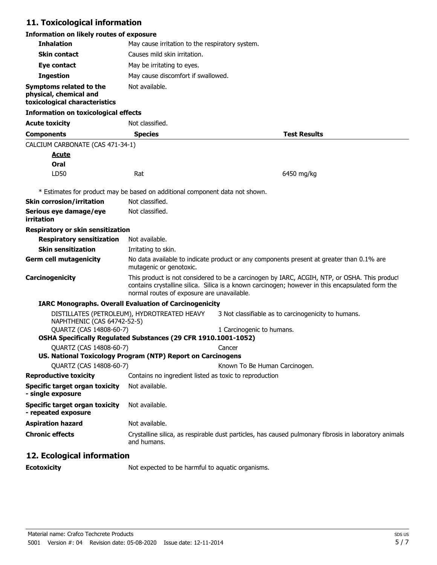## **11. Toxicological information**

## **Information on likely routes of exposure**

| <b>Inhalation</b>                                                                         | May cause irritation to the respiratory system.                              |                                                                                                                                                                                                  |  |
|-------------------------------------------------------------------------------------------|------------------------------------------------------------------------------|--------------------------------------------------------------------------------------------------------------------------------------------------------------------------------------------------|--|
| <b>Skin contact</b>                                                                       | Causes mild skin irritation.                                                 |                                                                                                                                                                                                  |  |
| Eye contact                                                                               | May be irritating to eyes.                                                   |                                                                                                                                                                                                  |  |
| <b>Ingestion</b>                                                                          | May cause discomfort if swallowed.                                           |                                                                                                                                                                                                  |  |
| <b>Symptoms related to the</b><br>physical, chemical and<br>toxicological characteristics | Not available.                                                               |                                                                                                                                                                                                  |  |
| <b>Information on toxicological effects</b>                                               |                                                                              |                                                                                                                                                                                                  |  |
| <b>Acute toxicity</b>                                                                     | Not classified.                                                              |                                                                                                                                                                                                  |  |
| <b>Components</b>                                                                         | <b>Species</b>                                                               | <b>Test Results</b>                                                                                                                                                                              |  |
| CALCIUM CARBONATE (CAS 471-34-1)                                                          |                                                                              |                                                                                                                                                                                                  |  |
| <u>Acute</u>                                                                              |                                                                              |                                                                                                                                                                                                  |  |
| Oral                                                                                      |                                                                              |                                                                                                                                                                                                  |  |
| LD50                                                                                      | Rat                                                                          | 6450 mg/kg                                                                                                                                                                                       |  |
|                                                                                           | * Estimates for product may be based on additional component data not shown. |                                                                                                                                                                                                  |  |
| <b>Skin corrosion/irritation</b>                                                          | Not classified.                                                              |                                                                                                                                                                                                  |  |
| Serious eye damage/eye<br>irritation                                                      | Not classified.                                                              |                                                                                                                                                                                                  |  |
| Respiratory or skin sensitization                                                         |                                                                              |                                                                                                                                                                                                  |  |
| <b>Respiratory sensitization</b>                                                          | Not available.                                                               |                                                                                                                                                                                                  |  |
| <b>Skin sensitization</b>                                                                 | Irritating to skin.                                                          |                                                                                                                                                                                                  |  |
| <b>Germ cell mutagenicity</b>                                                             | mutagenic or genotoxic.                                                      | No data available to indicate product or any components present at greater than 0.1% are                                                                                                         |  |
| Carcinogenicity                                                                           | normal routes of exposure are unavailable.                                   | This product is not considered to be a carcinogen by IARC, ACGIH, NTP, or OSHA. This product<br>contains crystalline silica. Silica is a known carcinogen; however in this encapsulated form the |  |
|                                                                                           | <b>IARC Monographs. Overall Evaluation of Carcinogenicity</b>                |                                                                                                                                                                                                  |  |
| NAPHTHENIC (CAS 64742-52-5)                                                               | DISTILLATES (PETROLEUM), HYDROTREATED HEAVY                                  | 3 Not classifiable as to carcinogenicity to humans.                                                                                                                                              |  |
| QUARTZ (CAS 14808-60-7)                                                                   |                                                                              | 1 Carcinogenic to humans.                                                                                                                                                                        |  |
|                                                                                           | OSHA Specifically Regulated Substances (29 CFR 1910.1001-1052)               |                                                                                                                                                                                                  |  |
| QUARTZ (CAS 14808-60-7)                                                                   | US. National Toxicology Program (NTP) Report on Carcinogens                  | Cancer                                                                                                                                                                                           |  |
| QUARTZ (CAS 14808-60-7)                                                                   |                                                                              | Known To Be Human Carcinogen.                                                                                                                                                                    |  |
| <b>Reproductive toxicity</b>                                                              | Contains no ingredient listed as toxic to reproduction                       |                                                                                                                                                                                                  |  |
| Specific target organ toxicity<br>- single exposure                                       | Not available.                                                               |                                                                                                                                                                                                  |  |
| <b>Specific target organ toxicity</b><br>- repeated exposure                              | Not available.                                                               |                                                                                                                                                                                                  |  |
| <b>Aspiration hazard</b>                                                                  | Not available.                                                               |                                                                                                                                                                                                  |  |
| <b>Chronic effects</b>                                                                    | and humans.                                                                  | Crystalline silica, as respirable dust particles, has caused pulmonary fibrosis in laboratory animals                                                                                            |  |
|                                                                                           |                                                                              |                                                                                                                                                                                                  |  |

## **12. Ecological information**

**Ecotoxicity** Not expected to be harmful to aquatic organisms.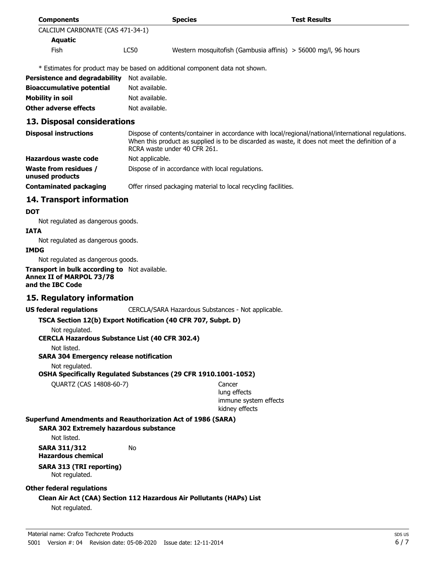| <b>Components</b>                |             | <b>Species</b>                                                              | <b>Test Results</b>                                              |
|----------------------------------|-------------|-----------------------------------------------------------------------------|------------------------------------------------------------------|
| CALCIUM CARBONATE (CAS 471-34-1) |             |                                                                             |                                                                  |
| Aquatic                          |             |                                                                             |                                                                  |
| Fish                             | <b>LC50</b> |                                                                             | Western mosquitofish (Gambusia affinis) $>$ 56000 mg/l, 96 hours |
|                                  |             | * Estimates for product may be based on additional component data not shown |                                                                  |

Estimates for product may be based on additional component data not shown.

| Persistence and degradability    | Not available. |
|----------------------------------|----------------|
| <b>Bioaccumulative potential</b> | Not available. |
| <b>Mobility in soil</b>          | Not available. |
| <b>Other adverse effects</b>     | Not available. |

### **13. Disposal considerations**

| <b>Disposal instructions</b>                    | Dispose of contents/container in accordance with local/regional/national/international regulations.<br>When this product as supplied is to be discarded as waste, it does not meet the definition of a<br>RCRA waste under 40 CFR 261. |
|-------------------------------------------------|----------------------------------------------------------------------------------------------------------------------------------------------------------------------------------------------------------------------------------------|
| Hazardous waste code                            | Not applicable.                                                                                                                                                                                                                        |
| <b>Waste from residues /</b><br>unused products | Dispose of in accordance with local regulations.                                                                                                                                                                                       |
| <b>Contaminated packaging</b>                   | Offer rinsed packaging material to local recycling facilities.                                                                                                                                                                         |

### **14. Transport information**

### **DOT**

Not regulated as dangerous goods.

## **IATA**

Not regulated as dangerous goods.

### **IMDG**

Not regulated as dangerous goods.

### **Transport in bulk according to** Not available. **Annex II of MARPOL 73/78 and the IBC Code**

### **15. Regulatory information**

**US federal regulations** CERCLA/SARA Hazardous Substances - Not applicable.

### **TSCA Section 12(b) Export Notification (40 CFR 707, Subpt. D)**

Not regulated.

### **CERCLA Hazardous Substance List (40 CFR 302.4)**

Not listed.

### **SARA 304 Emergency release notification**

Not regulated.

**OSHA Specifically Regulated Substances (29 CFR 1910.1001-1052)**

QUARTZ (CAS 14808-60-7) Cancer

lung effects immune system effects kidney effects

### **Superfund Amendments and Reauthorization Act of 1986 (SARA)**

### **SARA 302 Extremely hazardous substance**

Not listed.

**SARA 311/312** No **Hazardous chemical**

### **SARA 313 (TRI reporting)**

Not regulated.

### **Other federal regulations**

## **Clean Air Act (CAA) Section 112 Hazardous Air Pollutants (HAPs) List**

Not regulated.